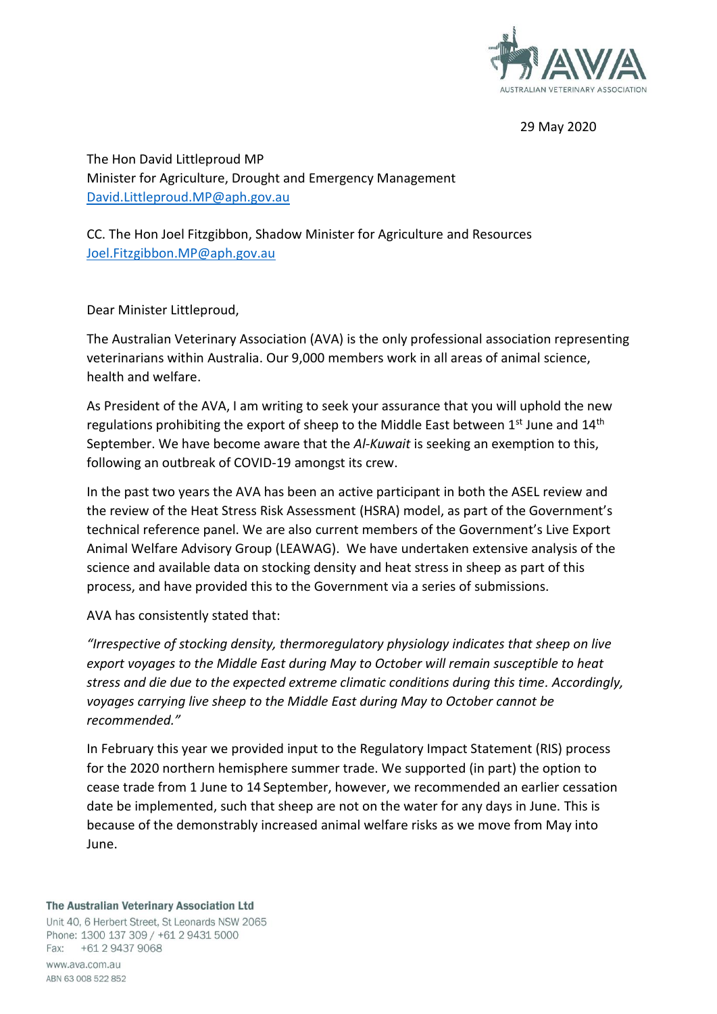

29 May 2020

The Hon David Littleproud MP Minister for Agriculture, Drought and Emergency Management [David.Littleproud.MP@aph.gov.au](mailto:David.Littleproud.MP@aph.gov.au)

CC. The Hon Joel Fitzgibbon, Shadow Minister for Agriculture and Resources [Joel.Fitzgibbon.MP@aph.gov.au](mailto:Joel.Fitzgibbon.MP@aph.gov.au)

Dear Minister Littleproud,

The Australian Veterinary Association (AVA) is the only professional association representing veterinarians within Australia. Our 9,000 members work in all areas of animal science, health and welfare.

As President of the AVA, I am writing to seek your assurance that you will uphold the new regulations prohibiting the export of sheep to the Middle East between 1st June and 14th September. We have become aware that the *Al-Kuwait* is seeking an exemption to this, following an outbreak of COVID-19 amongst its crew.

In the past two years the AVA has been an active participant in both the ASEL review and the review of the Heat Stress Risk Assessment (HSRA) model, as part of the Government's technical reference panel. We are also current members of the Government's Live Export Animal Welfare Advisory Group (LEAWAG). We have undertaken extensive analysis of the science and available data on stocking density and heat stress in sheep as part of this process, and have provided this to the Government via a series of submissions.

AVA has consistently stated that:

*"Irrespective of stocking density, thermoregulatory physiology indicates that sheep on live export voyages to the Middle East during May to October will remain susceptible to heat stress and die due to the expected extreme climatic conditions during this time. Accordingly, voyages carrying live sheep to the Middle East during May to October cannot be recommended."* 

In February this year we provided input to the Regulatory Impact Statement (RIS) process for the 2020 northern hemisphere summer trade. We supported (in part) the option to cease trade from 1 June to 14 September, however, we recommended an earlier cessation date be implemented, such that sheep are not on the water for any days in June. This is because of the demonstrably increased animal welfare risks as we move from May into June.

## The Australian Veterinary Association Ltd

Unit 40, 6 Herbert Street, St Leonards NSW 2065 Phone: 1300 137 309 / +61 2 9431 5000 Fax: +61 2 9437 9068 www.aya.com.au ABN 63 008 522 852